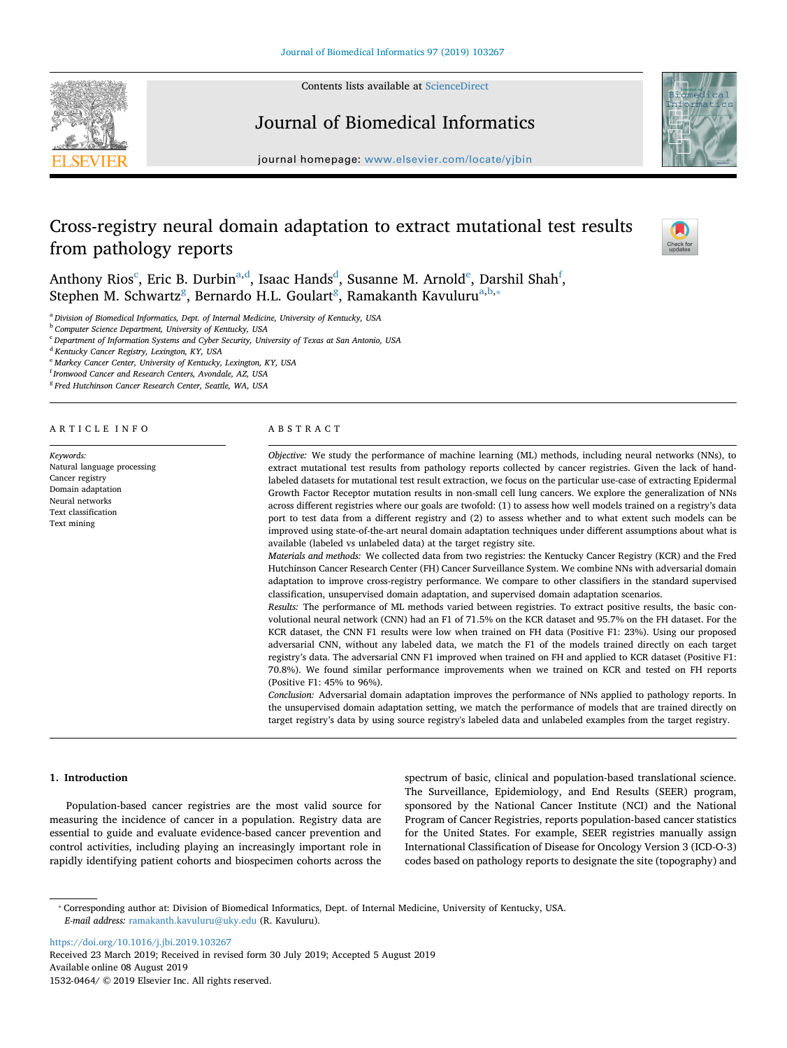Contents lists available at [ScienceDirect](http://www.sciencedirect.com/science/journal/15320464)





## Journal of Biomedical Informatics

journal homepage: [www.elsevier.com/locate/yjbin](https://www.elsevier.com/locate/yjbin)

# Cross-registry neural domain adaptation to extract mutational test results from pathology reports



Anthony Rios $^{\rm c}$  $^{\rm c}$  $^{\rm c}$ , Eric B. Durbin $^{\rm a,d}$  $^{\rm a,d}$  $^{\rm a,d}$  $^{\rm a,d}$ , Isaac Hands $^{\rm d}$ , Susann[e](#page-0-3) M. Arnold $^{\rm e}$ , Darshil Shah $^{\rm f}$  $^{\rm f}$  $^{\rm f}$ , Stephen M. Schwartz<sup>g</sup>, Bernardo H.L. Goulart<sup>g</sup>, Ramakanth Kavuluru<sup>[a,](#page-0-1)[b](#page-0-6),\*</sup>

<span id="page-0-1"></span><sup>a</sup> *Division of Biomedical Informatics, Dept. of Internal Medicine, University of Kentucky, USA*

<span id="page-0-6"></span><sup>b</sup> *Computer Science Department, University of Kentucky, USA*

<span id="page-0-0"></span><sup>c</sup> *Department of Information Systems and Cyber Security, University of Texas at San Antonio, USA*

<span id="page-0-2"></span><sup>d</sup> *Kentucky Cancer Registry, Lexington, KY, USA*

<span id="page-0-3"></span><sup>e</sup> *Markey Cancer Center, University of Kentucky, Lexington, KY, USA*

<span id="page-0-4"></span>f *Ironwood Cancer and Research Centers, Avondale, AZ, USA*

<span id="page-0-5"></span><sup>g</sup> *Fred Hutchinson Cancer Research Center, Seattle, WA, USA*

#### ARTICLE INFO

*Keywords:* Natural language processing Cancer registry Domain adaptation Neural networks Text classification Text mining

#### ABSTRACT

*Objective:* We study the performance of machine learning (ML) methods, including neural networks (NNs), to extract mutational test results from pathology reports collected by cancer registries. Given the lack of handlabeled datasets for mutational test result extraction, we focus on the particular use-case of extracting Epidermal Growth Factor Receptor mutation results in non-small cell lung cancers. We explore the generalization of NNs across different registries where our goals are twofold: (1) to assess how well models trained on a registry's data port to test data from a different registry and (2) to assess whether and to what extent such models can be improved using state-of-the-art neural domain adaptation techniques under different assumptions about what is available (labeled vs unlabeled data) at the target registry site.

*Materials and methods:* We collected data from two registries: the Kentucky Cancer Registry (KCR) and the Fred Hutchinson Cancer Research Center (FH) Cancer Surveillance System. We combine NNs with adversarial domain adaptation to improve cross-registry performance. We compare to other classifiers in the standard supervised classification, unsupervised domain adaptation, and supervised domain adaptation scenarios.

*Results:* The performance of ML methods varied between registries. To extract positive results, the basic convolutional neural network (CNN) had an F1 of 71.5% on the KCR dataset and 95.7% on the FH dataset. For the KCR dataset, the CNN F1 results were low when trained on FH data (Positive F1: 23%). Using our proposed adversarial CNN, without any labeled data, we match the F1 of the models trained directly on each target registry's data. The adversarial CNN F1 improved when trained on FH and applied to KCR dataset (Positive F1: 70.8%). We found similar performance improvements when we trained on KCR and tested on FH reports (Positive F1: 45% to 96%).

*Conclusion:* Adversarial domain adaptation improves the performance of NNs applied to pathology reports. In the unsupervised domain adaptation setting, we match the performance of models that are trained directly on target registry's data by using source registry's labeled data and unlabeled examples from the target registry.

## **1. Introduction**

Population-based cancer registries are the most valid source for measuring the incidence of cancer in a population. Registry data are essential to guide and evaluate evidence-based cancer prevention and control activities, including playing an increasingly important role in rapidly identifying patient cohorts and biospecimen cohorts across the spectrum of basic, clinical and population-based translational science. The Surveillance, Epidemiology, and End Results (SEER) program, sponsored by the National Cancer Institute (NCI) and the National Program of Cancer Registries, reports population-based cancer statistics for the United States. For example, SEER registries manually assign International Classification of Disease for Oncology Version 3 (ICD-O-3) codes based on pathology reports to designate the site (topography) and

<span id="page-0-7"></span>⁎ Corresponding author at: Division of Biomedical Informatics, Dept. of Internal Medicine, University of Kentucky, USA. *E-mail address:* [ramakanth.kavuluru@uky.edu](mailto:ramakanth.kavuluru@uky.edu) (R. Kavuluru).

<https://doi.org/10.1016/j.jbi.2019.103267> Received 23 March 2019; Received in revised form 30 July 2019; Accepted 5 August 2019 Available online 08 August 2019 1532-0464/ © 2019 Elsevier Inc. All rights reserved.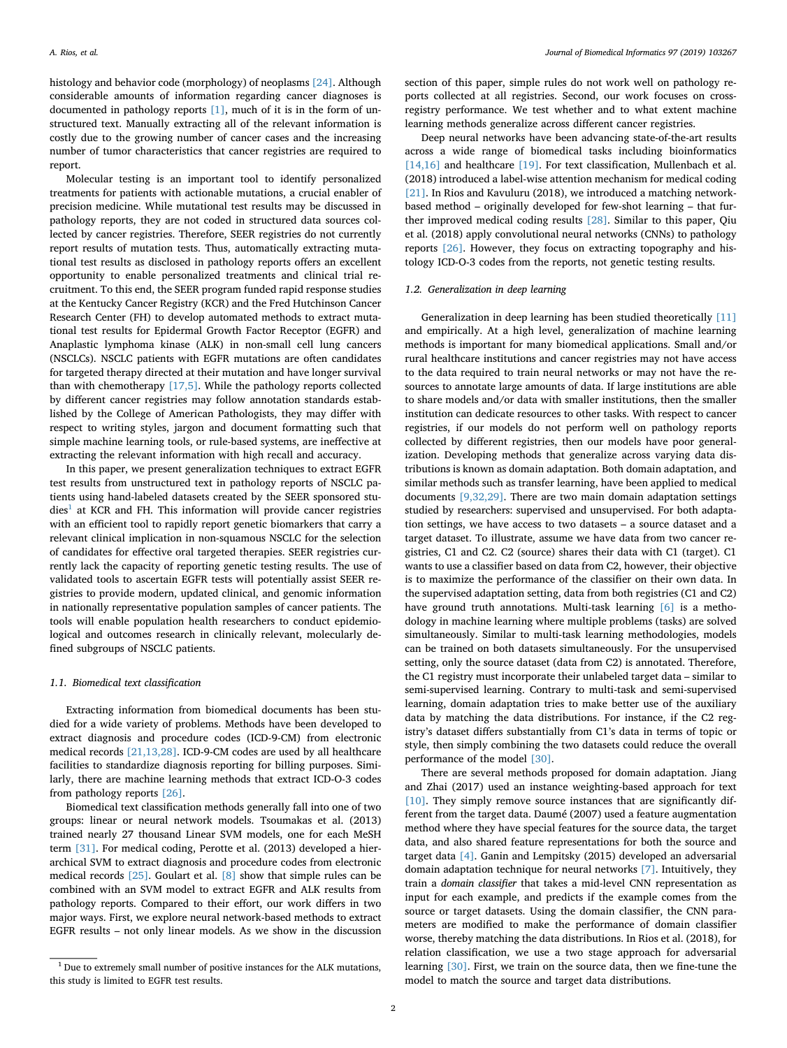histology and behavior code (morphology) of neoplasms [\[24\].](#page-7-0) Although considerable amounts of information regarding cancer diagnoses is documented in pathology reports [\[1\]](#page-7-1), much of it is in the form of unstructured text. Manually extracting all of the relevant information is costly due to the growing number of cancer cases and the increasing number of tumor characteristics that cancer registries are required to report.

Molecular testing is an important tool to identify personalized treatments for patients with actionable mutations, a crucial enabler of precision medicine. While mutational test results may be discussed in pathology reports, they are not coded in structured data sources collected by cancer registries. Therefore, SEER registries do not currently report results of mutation tests. Thus, automatically extracting mutational test results as disclosed in pathology reports offers an excellent opportunity to enable personalized treatments and clinical trial recruitment. To this end, the SEER program funded rapid response studies at the Kentucky Cancer Registry (KCR) and the Fred Hutchinson Cancer Research Center (FH) to develop automated methods to extract mutational test results for Epidermal Growth Factor Receptor (EGFR) and Anaplastic lymphoma kinase (ALK) in non-small cell lung cancers (NSCLCs). NSCLC patients with EGFR mutations are often candidates for targeted therapy directed at their mutation and have longer survival than with chemotherapy [\[17,5\].](#page-7-2) While the pathology reports collected by different cancer registries may follow annotation standards established by the College of American Pathologists, they may differ with respect to writing styles, jargon and document formatting such that simple machine learning tools, or rule-based systems, are ineffective at extracting the relevant information with high recall and accuracy.

In this paper, we present generalization techniques to extract EGFR test results from unstructured text in pathology reports of NSCLC patients using hand-labeled datasets created by the SEER sponsored stu- $dies<sup>1</sup>$  $dies<sup>1</sup>$  $dies<sup>1</sup>$  at KCR and FH. This information will provide cancer registries with an efficient tool to rapidly report genetic biomarkers that carry a relevant clinical implication in non-squamous NSCLC for the selection of candidates for effective oral targeted therapies. SEER registries currently lack the capacity of reporting genetic testing results. The use of validated tools to ascertain EGFR tests will potentially assist SEER registries to provide modern, updated clinical, and genomic information in nationally representative population samples of cancer patients. The tools will enable population health researchers to conduct epidemiological and outcomes research in clinically relevant, molecularly defined subgroups of NSCLC patients.

#### *1.1. Biomedical text classification*

Extracting information from biomedical documents has been studied for a wide variety of problems. Methods have been developed to extract diagnosis and procedure codes (ICD-9-CM) from electronic medical records [\[21,13,28\].](#page-7-3) ICD-9-CM codes are used by all healthcare facilities to standardize diagnosis reporting for billing purposes. Similarly, there are machine learning methods that extract ICD-O-3 codes from pathology reports [\[26\]](#page-7-4).

Biomedical text classification methods generally fall into one of two groups: linear or neural network models. Tsoumakas et al. (2013) trained nearly 27 thousand Linear SVM models, one for each MeSH term [\[31\].](#page-7-5) For medical coding, Perotte et al. (2013) developed a hierarchical SVM to extract diagnosis and procedure codes from electronic medical records [\[25\]](#page-7-6). Goulart et al. [\[8\]](#page-7-7) show that simple rules can be combined with an SVM model to extract EGFR and ALK results from pathology reports. Compared to their effort, our work differs in two major ways. First, we explore neural network-based methods to extract EGFR results – not only linear models. As we show in the discussion

section of this paper, simple rules do not work well on pathology reports collected at all registries. Second, our work focuses on crossregistry performance. We test whether and to what extent machine learning methods generalize across different cancer registries.

Deep neural networks have been advancing state-of-the-art results across a wide range of biomedical tasks including bioinformatics [\[14,16\]](#page-7-8) and healthcare [\[19\]](#page-7-9). For text classification, Mullenbach et al. (2018) introduced a label-wise attention mechanism for medical coding [\[21\]](#page-7-3). In Rios and Kavuluru (2018), we introduced a matching networkbased method – originally developed for few-shot learning – that further improved medical coding results [\[28\].](#page-7-10) Similar to this paper, Qiu et al. (2018) apply convolutional neural networks (CNNs) to pathology reports [\[26\]](#page-7-4). However, they focus on extracting topography and histology ICD-O-3 codes from the reports, not genetic testing results.

## *1.2. Generalization in deep learning*

Generalization in deep learning has been studied theoretically [\[11\]](#page-7-11) and empirically. At a high level, generalization of machine learning methods is important for many biomedical applications. Small and/or rural healthcare institutions and cancer registries may not have access to the data required to train neural networks or may not have the resources to annotate large amounts of data. If large institutions are able to share models and/or data with smaller institutions, then the smaller institution can dedicate resources to other tasks. With respect to cancer registries, if our models do not perform well on pathology reports collected by different registries, then our models have poor generalization. Developing methods that generalize across varying data distributions is known as domain adaptation. Both domain adaptation, and similar methods such as transfer learning, have been applied to medical documents [\[9,32,29\]](#page-7-12). There are two main domain adaptation settings studied by researchers: supervised and unsupervised. For both adaptation settings, we have access to two datasets – a source dataset and a target dataset. To illustrate, assume we have data from two cancer registries, C1 and C2. C2 (source) shares their data with C1 (target). C1 wants to use a classifier based on data from C2, however, their objective is to maximize the performance of the classifier on their own data. In the supervised adaptation setting, data from both registries (C1 and C2) have ground truth annotations. Multi-task learning [\[6\]](#page-7-13) is a methodology in machine learning where multiple problems (tasks) are solved simultaneously. Similar to multi-task learning methodologies, models can be trained on both datasets simultaneously. For the unsupervised setting, only the source dataset (data from C2) is annotated. Therefore, the C1 registry must incorporate their unlabeled target data – similar to semi-supervised learning. Contrary to multi-task and semi-supervised learning, domain adaptation tries to make better use of the auxiliary data by matching the data distributions. For instance, if the C2 registry's dataset differs substantially from C1's data in terms of topic or style, then simply combining the two datasets could reduce the overall performance of the model [\[30\]](#page-7-14).

There are several methods proposed for domain adaptation. Jiang and Zhai (2017) used an instance weighting-based approach for text [\[10\]](#page-7-15). They simply remove source instances that are significantly different from the target data. Daumé (2007) used a feature augmentation method where they have special features for the source data, the target data, and also shared feature representations for both the source and target data [\[4\]](#page-7-16). Ganin and Lempitsky (2015) developed an adversarial domain adaptation technique for neural networks [\[7\]](#page-7-17). Intuitively, they train a *domain classifier* that takes a mid-level CNN representation as input for each example, and predicts if the example comes from the source or target datasets. Using the domain classifier, the CNN parameters are modified to make the performance of domain classifier worse, thereby matching the data distributions. In Rios et al. (2018), for relation classification, we use a two stage approach for adversarial learning [\[30\].](#page-7-14) First, we train on the source data, then we fine-tune the model to match the source and target data distributions.

<span id="page-1-0"></span> $1$  Due to extremely small number of positive instances for the ALK mutations, this study is limited to EGFR test results.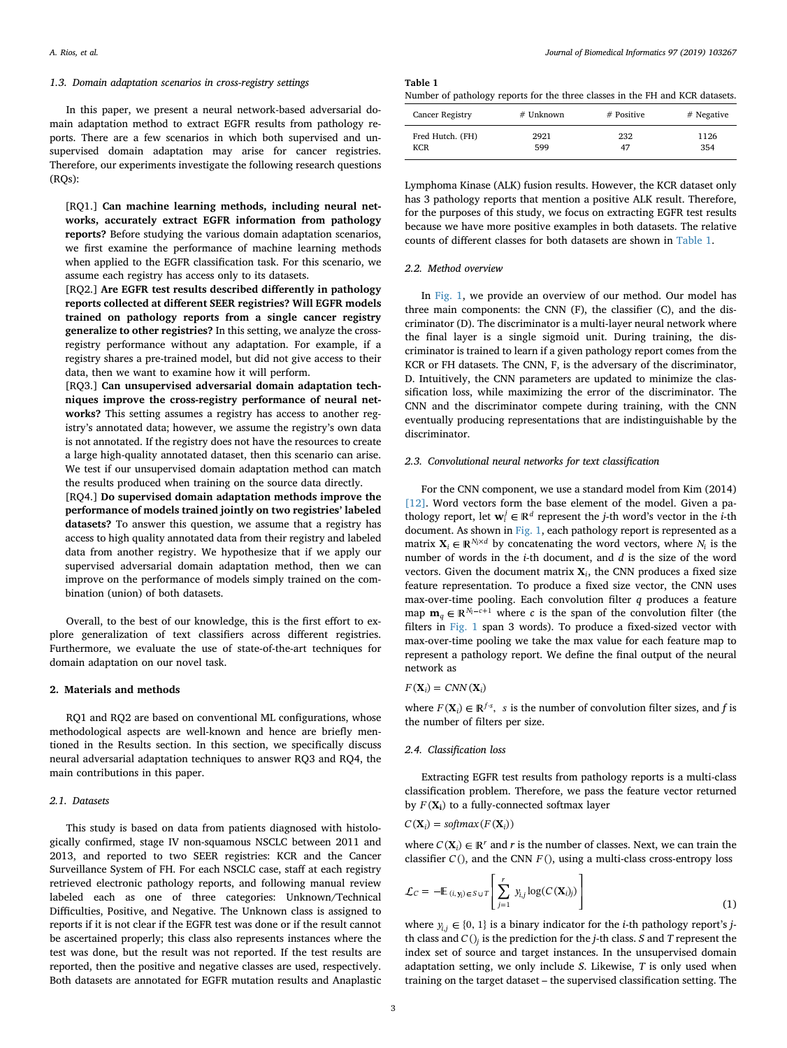#### <span id="page-2-2"></span>*1.3. Domain adaptation scenarios in cross-registry settings*

In this paper, we present a neural network-based adversarial domain adaptation method to extract EGFR results from pathology reports. There are a few scenarios in which both supervised and unsupervised domain adaptation may arise for cancer registries. Therefore, our experiments investigate the following research questions  $(ROs):$ 

[RO1.] Can machine learning methods, including neural net**works, accurately extract EGFR information from pathology reports?** Before studying the various domain adaptation scenarios, we first examine the performance of machine learning methods when applied to the EGFR classification task. For this scenario, we assume each registry has access only to its datasets.

[RQ2.] **Are EGFR test results described differently in pathology reports collected at different SEER registries? Will EGFR models trained on pathology reports from a single cancer registry generalize to other registries?** In this setting, we analyze the crossregistry performance without any adaptation. For example, if a registry shares a pre-trained model, but did not give access to their data, then we want to examine how it will perform.

[RQ3.] **Can unsupervised adversarial domain adaptation techniques improve the cross-registry performance of neural networks?** This setting assumes a registry has access to another registry's annotated data; however, we assume the registry's own data is not annotated. If the registry does not have the resources to create a large high-quality annotated dataset, then this scenario can arise. We test if our unsupervised domain adaptation method can match the results produced when training on the source data directly.

[RQ4.] **Do supervised domain adaptation methods improve the performance of models trained jointly on two registries' labeled datasets?** To answer this question, we assume that a registry has access to high quality annotated data from their registry and labeled data from another registry. We hypothesize that if we apply our supervised adversarial domain adaptation method, then we can improve on the performance of models simply trained on the combination (union) of both datasets.

Overall, to the best of our knowledge, this is the first effort to explore generalization of text classifiers across different registries. Furthermore, we evaluate the use of state-of-the-art techniques for domain adaptation on our novel task.

## **2. Materials and methods**

RQ1 and RQ2 are based on conventional ML configurations, whose methodological aspects are well-known and hence are briefly mentioned in the Results section. In this section, we specifically discuss neural adversarial adaptation techniques to answer RQ3 and RQ4, the main contributions in this paper.

## *2.1. Datasets*

This study is based on data from patients diagnosed with histologically confirmed, stage IV non-squamous NSCLC between 2011 and 2013, and reported to two SEER registries: KCR and the Cancer Surveillance System of FH. For each NSCLC case, staff at each registry retrieved electronic pathology reports, and following manual review labeled each as one of three categories: Unknown/Technical Difficulties, Positive, and Negative. The Unknown class is assigned to reports if it is not clear if the EGFR test was done or if the result cannot be ascertained properly; this class also represents instances where the test was done, but the result was not reported. If the test results are reported, then the positive and negative classes are used, respectively. Both datasets are annotated for EGFR mutation results and Anaplastic

<span id="page-2-0"></span>

| Table 1 |  |  |  |
|---------|--|--|--|
|         |  |  |  |

Number of pathology reports for the three classes in the FH and KCR datasets.

| <b>Cancer Registry</b> | # Unknown | # Positive | $#$ Negative |
|------------------------|-----------|------------|--------------|
| Fred Hutch. (FH)       | 2921      | 232        | 1126         |
| <b>KCR</b>             | 599       | 47         | 354          |

Lymphoma Kinase (ALK) fusion results. However, the KCR dataset only has 3 pathology reports that mention a positive ALK result. Therefore, for the purposes of this study, we focus on extracting EGFR test results because we have more positive examples in both datasets. The relative counts of different classes for both datasets are shown in [Table 1.](#page-2-0)

## *2.2. Method overview*

In [Fig. 1](#page-3-0), we provide an overview of our method. Our model has three main components: the CNN (F), the classifier (C), and the discriminator (D). The discriminator is a multi-layer neural network where the final layer is a single sigmoid unit. During training, the discriminator is trained to learn if a given pathology report comes from the KCR or FH datasets. The CNN, F, is the adversary of the discriminator, D. Intuitively, the CNN parameters are updated to minimize the classification loss, while maximizing the error of the discriminator. The CNN and the discriminator compete during training, with the CNN eventually producing representations that are indistinguishable by the discriminator.

## *2.3. Convolutional neural networks for text classification*

For the CNN component, we use a standard model from Kim (2014) [\[12\]](#page-7-18). Word vectors form the base element of the model. Given a pathology report, let  $\mathbf{w}_i^j \in \mathbb{R}^d$  represent the *j*-th word's vector in the *i*-th document. As shown in [Fig. 1,](#page-3-0) each pathology report is represented as a matrix  $X_i \in \mathbb{R}^{N_i \times d}$  by concatenating the word vectors, where  $N_i$  is the number of words in the *i*-th document, and *d* is the size of the word vectors. Given the document matrix  $X_i$ , the CNN produces a fixed size feature representation. To produce a fixed size vector, the CNN uses max-over-time pooling. Each convolution filter *q* produces a feature map  $\mathbf{m}_q \in \mathbb{R}^{N_l - c + 1}$  where *c* is the span of the convolution filter (the filters in [Fig. 1](#page-3-0) span 3 words). To produce a fixed-sized vector with max-over-time pooling we take the max value for each feature map to represent a pathology report. We define the final output of the neural network as

#### $F(\mathbf{X}_i) = CNN(\mathbf{X}_i)$

where  $F(\mathbf{X}_i) \in \mathbb{R}^{f \cdot s}$ , *s* is the number of convolution filter sizes, and *f* is the number of filters per size.

## *2.4. Classification loss*

Extracting EGFR test results from pathology reports is a multi-class classification problem. Therefore, we pass the feature vector returned by  $F(\mathbf{X_i})$  to a fully-connected softmax layer

$$
C(\mathbf{X}_i) = \text{softmax}(F(\mathbf{X}_i))
$$

<span id="page-2-1"></span>where  $C(\mathbf{X}_i) \in \mathbb{R}^r$  and *r* is the number of classes. Next, we can train the classifier  $C()$ , and the CNN  $F()$ , using a multi-class cross-entropy loss

$$
\mathcal{L}_C = -\mathbb{E}_{(i, y_i) \in S \cup T} \left[ \sum_{j=1}^r y_{i,j} \log(C(\mathbf{X}_i)_j) \right]
$$
(1)

where  $y_{i,j} \in \{0, 1\}$  is a binary indicator for the *i*-th pathology report's *j*th class and *C* ()*<sup>j</sup>* is the prediction for the *j*-th class. *S* and *T* represent the index set of source and target instances. In the unsupervised domain adaptation setting, we only include *S*. Likewise, *T* is only used when training on the target dataset – the supervised classification setting. The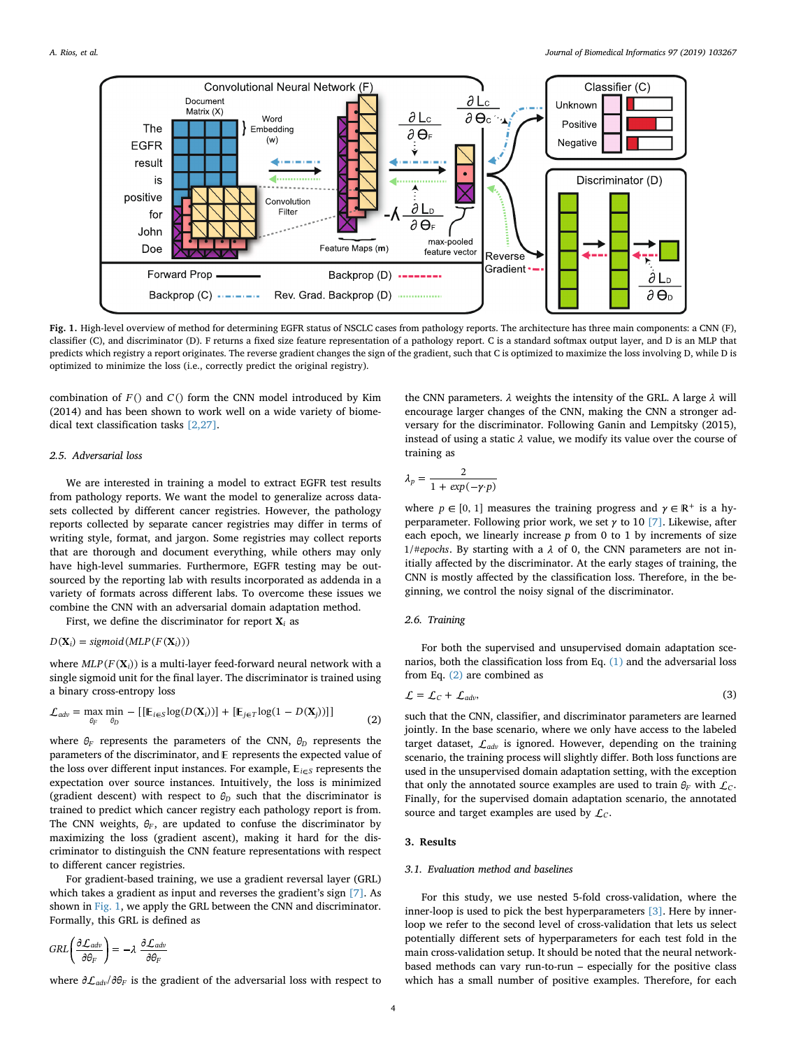<span id="page-3-0"></span>

**Fig. 1.** High-level overview of method for determining EGFR status of NSCLC cases from pathology reports. The architecture has three main components: a CNN (F), classifier (C), and discriminator (D). F returns a fixed size feature representation of a pathology report. C is a standard softmax output layer, and D is an MLP that predicts which registry a report originates. The reverse gradient changes the sign of the gradient, such that C is optimized to maximize the loss involving D, while D is optimized to minimize the loss (i.e., correctly predict the original registry).

combination of  $F()$  and  $C()$  form the CNN model introduced by Kim (2014) and has been shown to work well on a wide variety of biomedical text classification tasks [\[2,27\]](#page-7-19).

## *2.5. Adversarial loss*

We are interested in training a model to extract EGFR test results from pathology reports. We want the model to generalize across datasets collected by different cancer registries. However, the pathology reports collected by separate cancer registries may differ in terms of writing style, format, and jargon. Some registries may collect reports that are thorough and document everything, while others may only have high-level summaries. Furthermore, EGFR testing may be outsourced by the reporting lab with results incorporated as addenda in a variety of formats across different labs. To overcome these issues we combine the CNN with an adversarial domain adaptation method.

First, we define the discriminator for report  $\mathbf{X}_i$  as

 $D(X_i) = sigmoid(MLP(F(X_i)))$ 

<span id="page-3-1"></span>where  $MLP(F(\mathbf{X}_i))$  is a multi-layer feed-forward neural network with a single sigmoid unit for the final layer. The discriminator is trained using a binary cross-entropy loss

$$
\mathcal{L}_{adv} = \max_{\theta_F} \min_{\theta_D} - [[E_{i \in S} \log(D(\mathbf{X}_i))] + [E_{j \in T} \log(1 - D(\mathbf{X}_j))]] \tag{2}
$$

where  $\theta_F$  represents the parameters of the CNN,  $\theta_D$  represents the parameters of the discriminator, and  $E$  represents the expected value of the loss over different input instances. For example,  $E_{i \in S}$  represents the expectation over source instances. Intuitively, the loss is minimized (gradient descent) with respect to  $\theta_D$  such that the discriminator is trained to predict which cancer registry each pathology report is from. The CNN weights,  $\theta_F$ , are updated to confuse the discriminator by maximizing the loss (gradient ascent), making it hard for the discriminator to distinguish the CNN feature representations with respect to different cancer registries.

For gradient-based training, we use a gradient reversal layer (GRL) which takes a gradient as input and reverses the gradient's sign [\[7\].](#page-7-17) As shown in [Fig. 1](#page-3-0), we apply the GRL between the CNN and discriminator. Formally, this GRL is defined as

$$
GRL\left(\frac{\partial \mathcal{L}_{adv}}{\partial \theta_F}\right) = -\lambda \frac{\partial \mathcal{L}_{adv}}{\partial \theta_F}
$$

where  $\partial \mathcal{L}_{adv}/\partial \theta_F$  is the gradient of the adversarial loss with respect to

the CNN parameters.  $\lambda$  weights the intensity of the GRL. A large  $\lambda$  will encourage larger changes of the CNN, making the CNN a stronger adversary for the discriminator. Following Ganin and Lempitsky (2015), instead of using a static  $\lambda$  value, we modify its value over the course of training as

$$
\lambda_p = \frac{2}{1 + \exp(-\gamma \cdot p)}
$$

where  $p \in [0, 1]$  measures the training progress and  $\gamma \in \mathbb{R}^+$  is a hyperparameter. Following prior work, we set  $\gamma$  to 10 [\[7\].](#page-7-17) Likewise, after each epoch, we linearly increase *p* from 0 to 1 by increments of size  $1/$ #*epochs*. By starting with a  $\lambda$  of 0, the CNN parameters are not initially affected by the discriminator. At the early stages of training, the CNN is mostly affected by the classification loss. Therefore, in the beginning, we control the noisy signal of the discriminator.

## *2.6. Training*

For both the supervised and unsupervised domain adaptation scenarios, both the classification loss from Eq. [\(1\)](#page-2-1) and the adversarial loss from Eq. [\(2\)](#page-3-1) are combined as

$$
\mathcal{L} = \mathcal{L}_C + \mathcal{L}_{adv},\tag{3}
$$

such that the CNN, classifier, and discriminator parameters are learned jointly. In the base scenario, where we only have access to the labeled target dataset,  $\mathcal{L}_{adv}$  is ignored. However, depending on the training scenario, the training process will slightly differ. Both loss functions are used in the unsupervised domain adaptation setting, with the exception that only the annotated source examples are used to train  $\theta_F$  with  $\mathcal{L}_C$ . Finally, for the supervised domain adaptation scenario, the annotated source and target examples are used by  $\mathcal{L}_C$ .

## **3. Results**

## *3.1. Evaluation method and baselines*

For this study, we use nested 5-fold cross-validation, where the inner-loop is used to pick the best hyperparameters [\[3\].](#page-7-20) Here by innerloop we refer to the second level of cross-validation that lets us select potentially different sets of hyperparameters for each test fold in the main cross-validation setup. It should be noted that the neural networkbased methods can vary run-to-run – especially for the positive class which has a small number of positive examples. Therefore, for each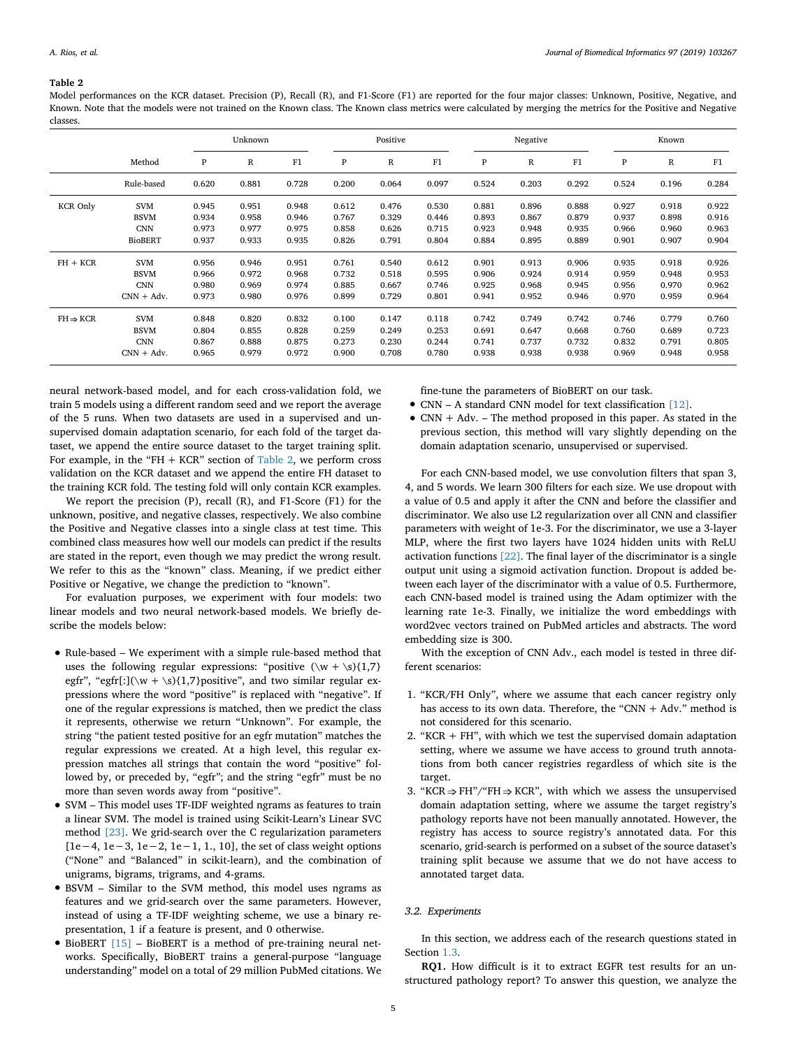#### <span id="page-4-0"></span>**Table 2**

Model performances on the KCR dataset. Precision (P), Recall (R), and F1-Score (F1) are reported for the four major classes: Unknown, Positive, Negative, and Known. Note that the models were not trained on the Known class. The Known class metrics were calculated by merging the metrics for the Positive and Negative classes.

|                      |                | Unknown |       |       | Positive |       |       | Negative |              |       | Known |       |       |
|----------------------|----------------|---------|-------|-------|----------|-------|-------|----------|--------------|-------|-------|-------|-------|
|                      | Method         | P       | R     | F1    | P        | R     | F1    | P        | $\mathbb{R}$ | F1    | P     | R     | F1    |
|                      | Rule-based     | 0.620   | 0.881 | 0.728 | 0.200    | 0.064 | 0.097 | 0.524    | 0.203        | 0.292 | 0.524 | 0.196 | 0.284 |
| <b>KCR Only</b>      | <b>SVM</b>     | 0.945   | 0.951 | 0.948 | 0.612    | 0.476 | 0.530 | 0.881    | 0.896        | 0.888 | 0.927 | 0.918 | 0.922 |
|                      | <b>BSVM</b>    | 0.934   | 0.958 | 0.946 | 0.767    | 0.329 | 0.446 | 0.893    | 0.867        | 0.879 | 0.937 | 0.898 | 0.916 |
|                      | <b>CNN</b>     | 0.973   | 0.977 | 0.975 | 0.858    | 0.626 | 0.715 | 0.923    | 0.948        | 0.935 | 0.966 | 0.960 | 0.963 |
|                      | <b>BioBERT</b> | 0.937   | 0.933 | 0.935 | 0.826    | 0.791 | 0.804 | 0.884    | 0.895        | 0.889 | 0.901 | 0.907 | 0.904 |
| $FH + KCR$           | <b>SVM</b>     | 0.956   | 0.946 | 0.951 | 0.761    | 0.540 | 0.612 | 0.901    | 0.913        | 0.906 | 0.935 | 0.918 | 0.926 |
|                      | <b>BSVM</b>    | 0.966   | 0.972 | 0.968 | 0.732    | 0.518 | 0.595 | 0.906    | 0.924        | 0.914 | 0.959 | 0.948 | 0.953 |
|                      | <b>CNN</b>     | 0.980   | 0.969 | 0.974 | 0.885    | 0.667 | 0.746 | 0.925    | 0.968        | 0.945 | 0.956 | 0.970 | 0.962 |
|                      | $CNN + Adv.$   | 0.973   | 0.980 | 0.976 | 0.899    | 0.729 | 0.801 | 0.941    | 0.952        | 0.946 | 0.970 | 0.959 | 0.964 |
| $FH \Rightarrow KCR$ | <b>SVM</b>     | 0.848   | 0.820 | 0.832 | 0.100    | 0.147 | 0.118 | 0.742    | 0.749        | 0.742 | 0.746 | 0.779 | 0.760 |
|                      | <b>BSVM</b>    | 0.804   | 0.855 | 0.828 | 0.259    | 0.249 | 0.253 | 0.691    | 0.647        | 0.668 | 0.760 | 0.689 | 0.723 |
|                      | <b>CNN</b>     | 0.867   | 0.888 | 0.875 | 0.273    | 0.230 | 0.244 | 0.741    | 0.737        | 0.732 | 0.832 | 0.791 | 0.805 |
|                      | $CNN + Adv.$   | 0.965   | 0.979 | 0.972 | 0.900    | 0.708 | 0.780 | 0.938    | 0.938        | 0.938 | 0.969 | 0.948 | 0.958 |

neural network-based model, and for each cross-validation fold, we train 5 models using a different random seed and we report the average of the 5 runs. When two datasets are used in a supervised and unsupervised domain adaptation scenario, for each fold of the target dataset, we append the entire source dataset to the target training split. For example, in the "FH  $+$  KCR" section of [Table 2,](#page-4-0) we perform cross validation on the KCR dataset and we append the entire FH dataset to the training KCR fold. The testing fold will only contain KCR examples.

We report the precision (P), recall (R), and F1-Score (F1) for the unknown, positive, and negative classes, respectively. We also combine the Positive and Negative classes into a single class at test time. This combined class measures how well our models can predict if the results are stated in the report, even though we may predict the wrong result. We refer to this as the "known" class. Meaning, if we predict either Positive or Negative, we change the prediction to "known".

For evaluation purposes, we experiment with four models: two linear models and two neural network-based models. We briefly describe the models below:

- Rule-based We experiment with a simple rule-based method that uses the following regular expressions: "positive  $(\wedge w + \wedge s){1,7}$ egfr", "egfr[:]( $\wedge w + \S$ ){1,7}positive", and two similar regular expressions where the word "positive" is replaced with "negative". If one of the regular expressions is matched, then we predict the class it represents, otherwise we return "Unknown". For example, the string "the patient tested positive for an egfr mutation" matches the regular expressions we created. At a high level, this regular expression matches all strings that contain the word "positive" followed by, or preceded by, "egfr"; and the string "egfr" must be no more than seven words away from "positive".
- SVM This model uses TF-IDF weighted ngrams as features to train a linear SVM. The model is trained using Scikit-Learn's Linear SVC method [\[23\].](#page-7-21) We grid-search over the C regularization parameters [1e−4, 1e−3, 1e−2, 1e−1, 1., 10], the set of class weight options ("None" and "Balanced" in scikit-learn), and the combination of unigrams, bigrams, trigrams, and 4-grams.
- BSVM Similar to the SVM method, this model uses ngrams as features and we grid-search over the same parameters. However, instead of using a TF-IDF weighting scheme, we use a binary representation, 1 if a feature is present, and 0 otherwise.
- BioBERT [\[15\]](#page-7-22) BioBERT is a method of pre-training neural networks. Specifically, BioBERT trains a general-purpose "language understanding" model on a total of 29 million PubMed citations. We

fine-tune the parameters of BioBERT on our task.

- CNN A standard CNN model for text classification [\[12\].](#page-7-18)
- CNN  $+$  Adv. The method proposed in this paper. As stated in the previous section, this method will vary slightly depending on the domain adaptation scenario, unsupervised or supervised.

For each CNN-based model, we use convolution filters that span 3, 4, and 5 words. We learn 300 filters for each size. We use dropout with a value of 0.5 and apply it after the CNN and before the classifier and discriminator. We also use L2 regularization over all CNN and classifier parameters with weight of 1e-3. For the discriminator, we use a 3-layer MLP, where the first two layers have 1024 hidden units with ReLU activation functions [\[22\]](#page-7-23). The final layer of the discriminator is a single output unit using a sigmoid activation function. Dropout is added between each layer of the discriminator with a value of 0.5. Furthermore, each CNN-based model is trained using the Adam optimizer with the learning rate 1e-3. Finally, we initialize the word embeddings with word2vec vectors trained on PubMed articles and abstracts. The word embedding size is 300.

With the exception of CNN Adv., each model is tested in three different scenarios:

- 1. "KCR/FH Only", where we assume that each cancer registry only has access to its own data. Therefore, the "CNN  $+$  Adv." method is not considered for this scenario.
- 2. "KCR + FH", with which we test the supervised domain adaptation setting, where we assume we have access to ground truth annotations from both cancer registries regardless of which site is the target.
- 3. "KCR  $\Rightarrow$  FH"/"FH  $\Rightarrow$  KCR", with which we assess the unsupervised domain adaptation setting, where we assume the target registry's pathology reports have not been manually annotated. However, the registry has access to source registry's annotated data. For this scenario, grid-search is performed on a subset of the source dataset's training split because we assume that we do not have access to annotated target data.

#### *3.2. Experiments*

In this section, we address each of the research questions stated in Section [1.3](#page-2-2).

**RQ1.** How difficult is it to extract EGFR test results for an unstructured pathology report? To answer this question, we analyze the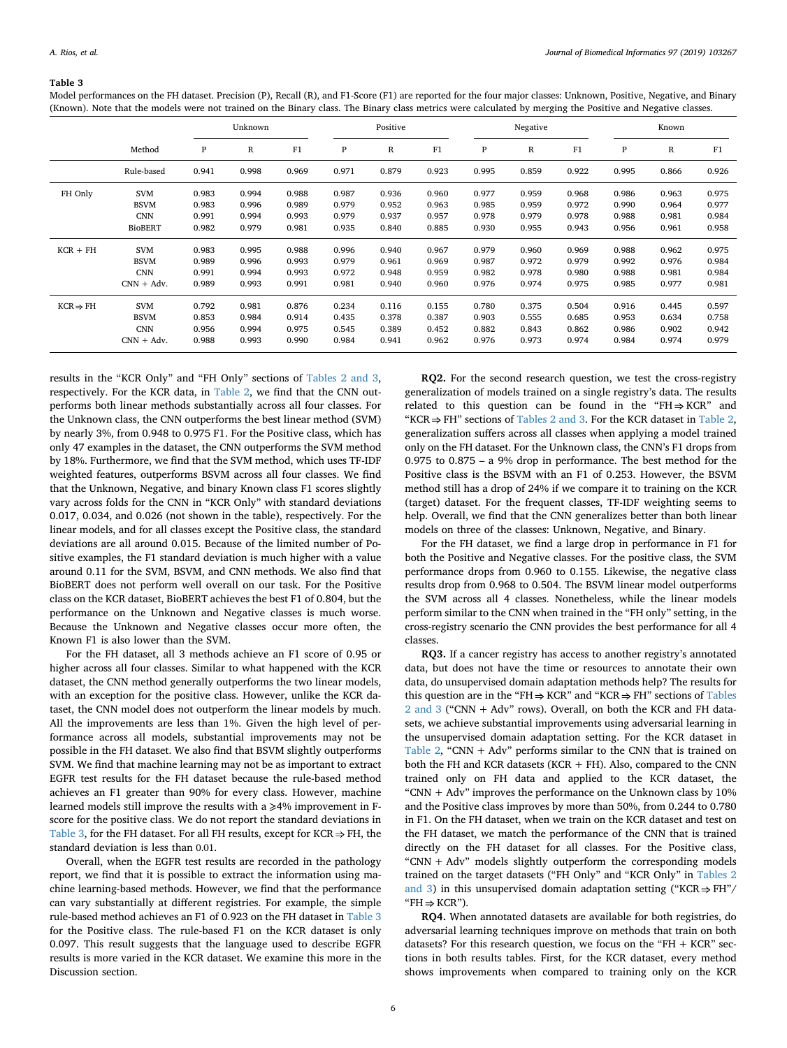#### <span id="page-5-0"></span>**Table 3**

Model performances on the FH dataset. Precision (P), Recall (R), and F1-Score (F1) are reported for the four major classes: Unknown, Positive, Negative, and Binary (Known). Note that the models were not trained on the Binary class. The Binary class metrics were calculated by merging the Positive and Negative classes.

|                      |                | Unknown |             |       | Positive |              |       | Negative |                |       | Known |       |       |
|----------------------|----------------|---------|-------------|-------|----------|--------------|-------|----------|----------------|-------|-------|-------|-------|
|                      | Method         | P       | $\mathbb R$ | F1    | P        | $\mathbb{R}$ | F1    | P        | $\overline{R}$ | F1    | P     | R     | F1    |
|                      | Rule-based     | 0.941   | 0.998       | 0.969 | 0.971    | 0.879        | 0.923 | 0.995    | 0.859          | 0.922 | 0.995 | 0.866 | 0.926 |
| FH Only              | <b>SVM</b>     | 0.983   | 0.994       | 0.988 | 0.987    | 0.936        | 0.960 | 0.977    | 0.959          | 0.968 | 0.986 | 0.963 | 0.975 |
|                      | <b>BSVM</b>    | 0.983   | 0.996       | 0.989 | 0.979    | 0.952        | 0.963 | 0.985    | 0.959          | 0.972 | 0.990 | 0.964 | 0.977 |
|                      | <b>CNN</b>     | 0.991   | 0.994       | 0.993 | 0.979    | 0.937        | 0.957 | 0.978    | 0.979          | 0.978 | 0.988 | 0.981 | 0.984 |
|                      | <b>BioBERT</b> | 0.982   | 0.979       | 0.981 | 0.935    | 0.840        | 0.885 | 0.930    | 0.955          | 0.943 | 0.956 | 0.961 | 0.958 |
| $KCR + FH$           | <b>SVM</b>     | 0.983   | 0.995       | 0.988 | 0.996    | 0.940        | 0.967 | 0.979    | 0.960          | 0.969 | 0.988 | 0.962 | 0.975 |
|                      | <b>BSVM</b>    | 0.989   | 0.996       | 0.993 | 0.979    | 0.961        | 0.969 | 0.987    | 0.972          | 0.979 | 0.992 | 0.976 | 0.984 |
|                      | <b>CNN</b>     | 0.991   | 0.994       | 0.993 | 0.972    | 0.948        | 0.959 | 0.982    | 0.978          | 0.980 | 0.988 | 0.981 | 0.984 |
|                      | $CNN + Adv.$   | 0.989   | 0.993       | 0.991 | 0.981    | 0.940        | 0.960 | 0.976    | 0.974          | 0.975 | 0.985 | 0.977 | 0.981 |
| $KCR \Rightarrow FH$ | <b>SVM</b>     | 0.792   | 0.981       | 0.876 | 0.234    | 0.116        | 0.155 | 0.780    | 0.375          | 0.504 | 0.916 | 0.445 | 0.597 |
|                      | <b>BSVM</b>    | 0.853   | 0.984       | 0.914 | 0.435    | 0.378        | 0.387 | 0.903    | 0.555          | 0.685 | 0.953 | 0.634 | 0.758 |
|                      | <b>CNN</b>     | 0.956   | 0.994       | 0.975 | 0.545    | 0.389        | 0.452 | 0.882    | 0.843          | 0.862 | 0.986 | 0.902 | 0.942 |
|                      | $CNN + Adv.$   | 0.988   | 0.993       | 0.990 | 0.984    | 0.941        | 0.962 | 0.976    | 0.973          | 0.974 | 0.984 | 0.974 | 0.979 |

results in the "KCR Only" and "FH Only" sections of [Tables 2 and 3](#page-4-0), respectively. For the KCR data, in [Table 2,](#page-4-0) we find that the CNN outperforms both linear methods substantially across all four classes. For the Unknown class, the CNN outperforms the best linear method (SVM) by nearly 3%, from 0.948 to 0.975 F1. For the Positive class, which has only 47 examples in the dataset, the CNN outperforms the SVM method by 18%. Furthermore, we find that the SVM method, which uses TF-IDF weighted features, outperforms BSVM across all four classes. We find that the Unknown, Negative, and binary Known class F1 scores slightly vary across folds for the CNN in "KCR Only" with standard deviations 0.017, 0.034, and 0.026 (not shown in the table), respectively. For the linear models, and for all classes except the Positive class, the standard deviations are all around 0.015. Because of the limited number of Positive examples, the F1 standard deviation is much higher with a value around 0.11 for the SVM, BSVM, and CNN methods. We also find that BioBERT does not perform well overall on our task. For the Positive class on the KCR dataset, BioBERT achieves the best F1 of 0.804, but the performance on the Unknown and Negative classes is much worse. Because the Unknown and Negative classes occur more often, the Known F1 is also lower than the SVM.

For the FH dataset, all 3 methods achieve an F1 score of 0.95 or higher across all four classes. Similar to what happened with the KCR dataset, the CNN method generally outperforms the two linear models, with an exception for the positive class. However, unlike the KCR dataset, the CNN model does not outperform the linear models by much. All the improvements are less than 1%. Given the high level of performance across all models, substantial improvements may not be possible in the FH dataset. We also find that BSVM slightly outperforms SVM. We find that machine learning may not be as important to extract EGFR test results for the FH dataset because the rule-based method achieves an F1 greater than 90% for every class. However, machine learned models still improve the results with a  $\geq$ 4% improvement in Fscore for the positive class. We do not report the standard deviations in [Table 3,](#page-5-0) for the FH dataset. For all FH results, except for  $KCR \Rightarrow FH$ , the standard deviation is less than 0.01.

Overall, when the EGFR test results are recorded in the pathology report, we find that it is possible to extract the information using machine learning-based methods. However, we find that the performance can vary substantially at different registries. For example, the simple rule-based method achieves an F1 of 0.923 on the FH dataset in [Table 3](#page-5-0) for the Positive class. The rule-based F1 on the KCR dataset is only 0.097. This result suggests that the language used to describe EGFR results is more varied in the KCR dataset. We examine this more in the Discussion section.

**RQ2.** For the second research question, we test the cross-registry generalization of models trained on a single registry's data. The results related to this question can be found in the "FH $\Rightarrow$ KCR" and "KCR  $\Rightarrow$  FH" sections of [Tables 2 and 3](#page-4-0). For the KCR dataset in [Table 2](#page-4-0), generalization suffers across all classes when applying a model trained only on the FH dataset. For the Unknown class, the CNN's F1 drops from 0.975 to 0.875 – a 9% drop in performance. The best method for the Positive class is the BSVM with an F1 of 0.253. However, the BSVM method still has a drop of 24% if we compare it to training on the KCR (target) dataset. For the frequent classes, TF-IDF weighting seems to help. Overall, we find that the CNN generalizes better than both linear models on three of the classes: Unknown, Negative, and Binary.

For the FH dataset, we find a large drop in performance in F1 for both the Positive and Negative classes. For the positive class, the SVM performance drops from 0.960 to 0.155. Likewise, the negative class results drop from 0.968 to 0.504. The BSVM linear model outperforms the SVM across all 4 classes. Nonetheless, while the linear models perform similar to the CNN when trained in the "FH only" setting, in the cross-registry scenario the CNN provides the best performance for all 4 classes.

**RQ3.** If a cancer registry has access to another registry's annotated data, but does not have the time or resources to annotate their own data, do unsupervised domain adaptation methods help? The results for this question are in the "FH $\Rightarrow$  KCR" and "KCR $\Rightarrow$  FH" sections of [Tables](#page-4-0) [2 and 3](#page-4-0) ("CNN + Adv" rows). Overall, on both the KCR and FH datasets, we achieve substantial improvements using adversarial learning in the unsupervised domain adaptation setting. For the KCR dataset in [Table 2](#page-4-0), "CNN + Adv" performs similar to the CNN that is trained on both the FH and KCR datasets (KCR + FH). Also, compared to the CNN trained only on FH data and applied to the KCR dataset, the "CNN  $+$  Adv" improves the performance on the Unknown class by 10% and the Positive class improves by more than 50%, from 0.244 to 0.780 in F1. On the FH dataset, when we train on the KCR dataset and test on the FH dataset, we match the performance of the CNN that is trained directly on the FH dataset for all classes. For the Positive class, "CNN + Adv" models slightly outperform the corresponding models trained on the target datasets ("FH Only" and "KCR Only" in [Tables 2](#page-4-0) [and 3](#page-4-0)) in this unsupervised domain adaptation setting ("KCR  $\Rightarrow$  FH"/ " $FH \Rightarrow KCR$ ").

**RQ4.** When annotated datasets are available for both registries, do adversarial learning techniques improve on methods that train on both datasets? For this research question, we focus on the "FH  $+$  KCR" sections in both results tables. First, for the KCR dataset, every method shows improvements when compared to training only on the KCR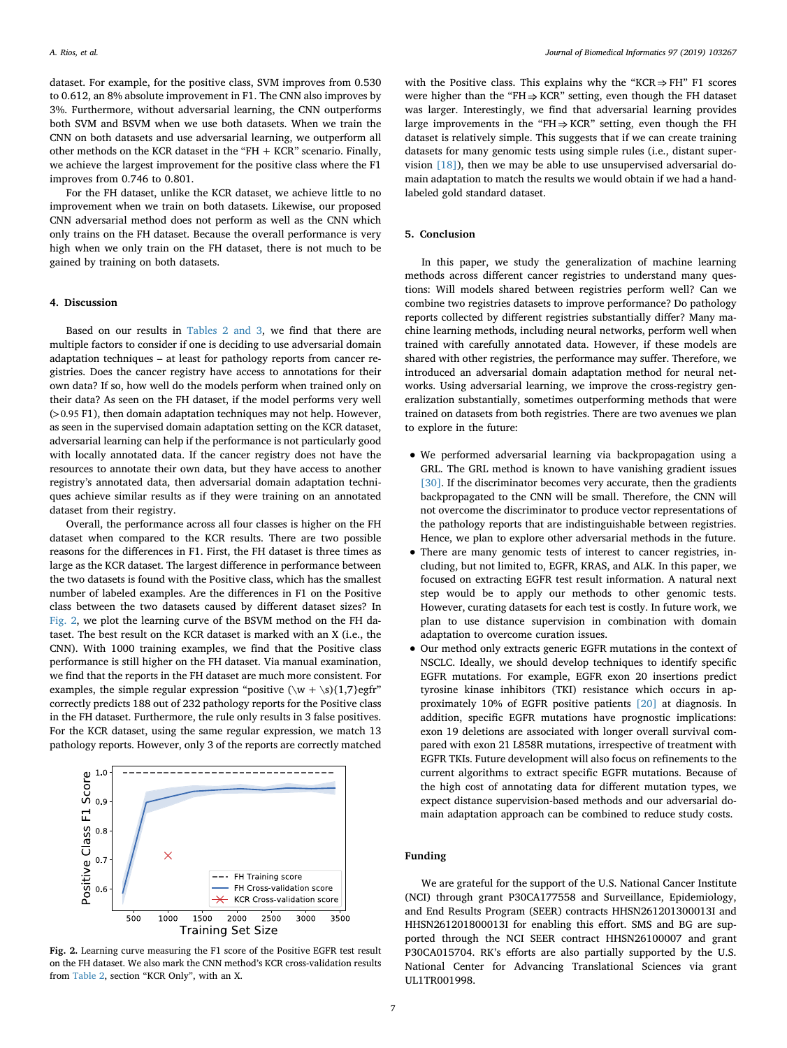dataset. For example, for the positive class, SVM improves from 0.530 to 0.612, an 8% absolute improvement in F1. The CNN also improves by 3%. Furthermore, without adversarial learning, the CNN outperforms both SVM and BSVM when we use both datasets. When we train the CNN on both datasets and use adversarial learning, we outperform all other methods on the KCR dataset in the "FH + KCR" scenario. Finally, we achieve the largest improvement for the positive class where the F1 improves from 0.746 to 0.801.

For the FH dataset, unlike the KCR dataset, we achieve little to no improvement when we train on both datasets. Likewise, our proposed CNN adversarial method does not perform as well as the CNN which only trains on the FH dataset. Because the overall performance is very high when we only train on the FH dataset, there is not much to be gained by training on both datasets.

#### **4. Discussion**

Based on our results in [Tables 2 and 3,](#page-4-0) we find that there are multiple factors to consider if one is deciding to use adversarial domain adaptation techniques – at least for pathology reports from cancer registries. Does the cancer registry have access to annotations for their own data? If so, how well do the models perform when trained only on their data? As seen on the FH dataset, if the model performs very well ( >0.95 F1), then domain adaptation techniques may not help. However, as seen in the supervised domain adaptation setting on the KCR dataset, adversarial learning can help if the performance is not particularly good with locally annotated data. If the cancer registry does not have the resources to annotate their own data, but they have access to another registry's annotated data, then adversarial domain adaptation techniques achieve similar results as if they were training on an annotated dataset from their registry.

Overall, the performance across all four classes is higher on the FH dataset when compared to the KCR results. There are two possible reasons for the differences in F1. First, the FH dataset is three times as large as the KCR dataset. The largest difference in performance between the two datasets is found with the Positive class, which has the smallest number of labeled examples. Are the differences in F1 on the Positive class between the two datasets caused by different dataset sizes? In [Fig. 2](#page-6-0), we plot the learning curve of the BSVM method on the FH dataset. The best result on the KCR dataset is marked with an X (i.e., the CNN). With 1000 training examples, we find that the Positive class performance is still higher on the FH dataset. Via manual examination, we find that the reports in the FH dataset are much more consistent. For examples, the simple regular expression "positive  $(\wedge w + \wedge s){1,7}$ egfr" correctly predicts 188 out of 232 pathology reports for the Positive class in the FH dataset. Furthermore, the rule only results in 3 false positives. For the KCR dataset, using the same regular expression, we match 13 pathology reports. However, only 3 of the reports are correctly matched

<span id="page-6-0"></span>

**Fig. 2.** Learning curve measuring the F1 score of the Positive EGFR test result on the FH dataset. We also mark the CNN method's KCR cross-validation results from [Table 2](#page-4-0), section "KCR Only", with an X.

with the Positive class. This explains why the "KCR  $\Rightarrow$  FH" F1 scores were higher than the "FH $\Rightarrow$  KCR" setting, even though the FH dataset was larger. Interestingly, we find that adversarial learning provides large improvements in the "FH $\Rightarrow$ KCR" setting, even though the FH dataset is relatively simple. This suggests that if we can create training datasets for many genomic tests using simple rules (i.e., distant supervision [\[18\]](#page-7-24)), then we may be able to use unsupervised adversarial domain adaptation to match the results we would obtain if we had a handlabeled gold standard dataset.

## **5. Conclusion**

In this paper, we study the generalization of machine learning methods across different cancer registries to understand many questions: Will models shared between registries perform well? Can we combine two registries datasets to improve performance? Do pathology reports collected by different registries substantially differ? Many machine learning methods, including neural networks, perform well when trained with carefully annotated data. However, if these models are shared with other registries, the performance may suffer. Therefore, we introduced an adversarial domain adaptation method for neural networks. Using adversarial learning, we improve the cross-registry generalization substantially, sometimes outperforming methods that were trained on datasets from both registries. There are two avenues we plan to explore in the future:

- We performed adversarial learning via backpropagation using a GRL. The GRL method is known to have vanishing gradient issues [\[30\]](#page-7-14). If the discriminator becomes very accurate, then the gradients backpropagated to the CNN will be small. Therefore, the CNN will not overcome the discriminator to produce vector representations of the pathology reports that are indistinguishable between registries. Hence, we plan to explore other adversarial methods in the future.
- There are many genomic tests of interest to cancer registries, including, but not limited to, EGFR, KRAS, and ALK. In this paper, we focused on extracting EGFR test result information. A natural next step would be to apply our methods to other genomic tests. However, curating datasets for each test is costly. In future work, we plan to use distance supervision in combination with domain adaptation to overcome curation issues.
- Our method only extracts generic EGFR mutations in the context of NSCLC. Ideally, we should develop techniques to identify specific EGFR mutations. For example, EGFR exon 20 insertions predict tyrosine kinase inhibitors (TKI) resistance which occurs in approximately 10% of EGFR positive patients [\[20\]](#page-7-25) at diagnosis. In addition, specific EGFR mutations have prognostic implications: exon 19 deletions are associated with longer overall survival compared with exon 21 L858R mutations, irrespective of treatment with EGFR TKIs. Future development will also focus on refinements to the current algorithms to extract specific EGFR mutations. Because of the high cost of annotating data for different mutation types, we expect distance supervision-based methods and our adversarial domain adaptation approach can be combined to reduce study costs.

## **Funding**

We are grateful for the support of the U.S. National Cancer Institute (NCI) through grant P30CA177558 and Surveillance, Epidemiology, and End Results Program (SEER) contracts HHSN261201300013I and HHSN261201800013I for enabling this effort. SMS and BG are supported through the NCI SEER contract HHSN26100007 and grant P30CA015704. RK's efforts are also partially supported by the U.S. National Center for Advancing Translational Sciences via grant UL1TR001998.